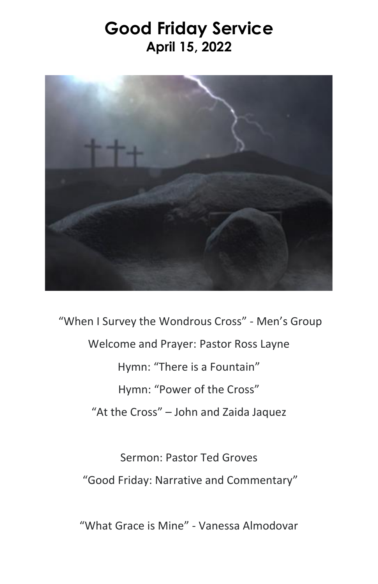## **Good Friday Service April 15, 2022**



"When I Survey the Wondrous Cross" - Men's Group Welcome and Prayer: Pastor Ross Layne Hymn: "There is a Fountain" Hymn: "Power of the Cross" "At the Cross" – John and Zaida Jaquez

Sermon: Pastor Ted Groves "Good Friday: Narrative and Commentary"

"What Grace is Mine" - Vanessa Almodovar